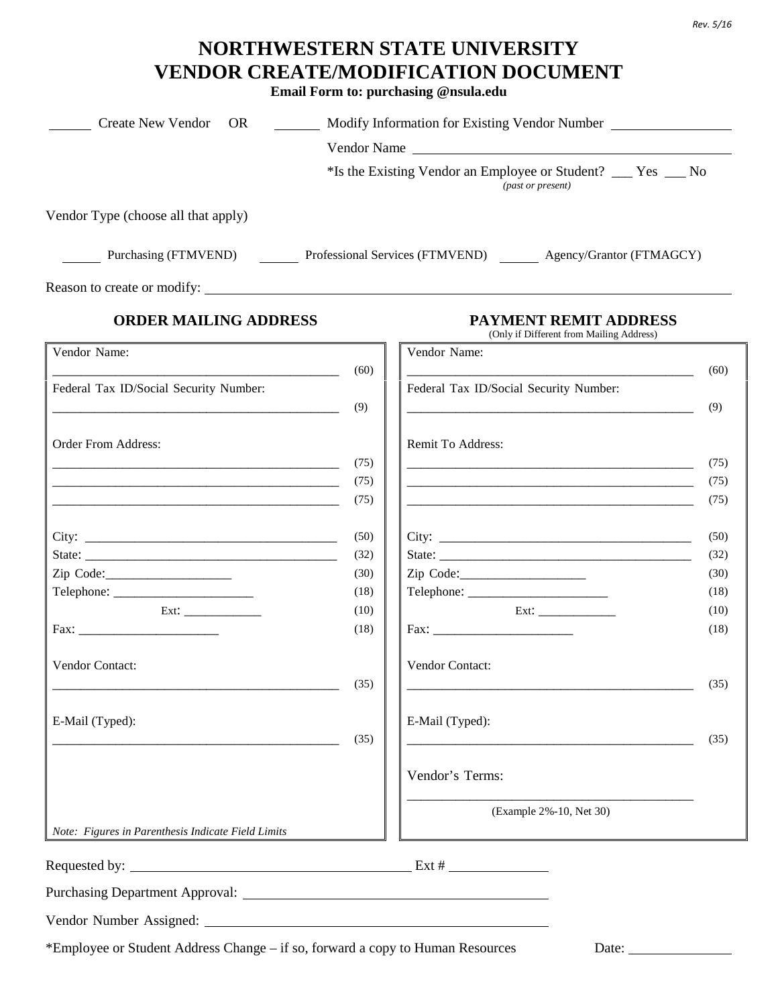## **NORTHWESTERN STATE UNIVERSITY VENDOR CREATE/MODIFICATION DOCUMENT**

**Email Form to: purchasing @nsula.edu** 

| Create New Vendor OR<br><u> 1990 - Jan Barnett, politik e</u> t                |              | Modify Information for Existing Vendor Number                                                                        |              |
|--------------------------------------------------------------------------------|--------------|----------------------------------------------------------------------------------------------------------------------|--------------|
|                                                                                |              | Vendor Name                                                                                                          |              |
|                                                                                |              | *Is the Existing Vendor an Employee or Student? ___ Yes __ No<br>(past or present)                                   |              |
| Vendor Type (choose all that apply)                                            |              |                                                                                                                      |              |
|                                                                                |              | Purchasing (FTMVEND) Professional Services (FTMVEND) Agency/Grantor (FTMAGCY)                                        |              |
|                                                                                |              |                                                                                                                      |              |
| <b>ORDER MAILING ADDRESS</b>                                                   |              | <b>PAYMENT REMIT ADDRESS</b><br>(Only if Different from Mailing Address)                                             |              |
| Vendor Name:                                                                   | (60)         | Vendor Name:                                                                                                         | (60)         |
| Federal Tax ID/Social Security Number:                                         | (9)          | Federal Tax ID/Social Security Number:<br><u> 1989 - Johann Barbara, martin amerikan personal (</u>                  | (9)          |
| <b>Order From Address:</b>                                                     | (75)         | Remit To Address:                                                                                                    | (75)         |
|                                                                                | (75)<br>(75) | <u> 1989 - Johann John Stein, markin fan it fjort fan de ferstjer fan it fjort fan de ferstjer fan de ferstjer f</u> | (75)<br>(75) |
|                                                                                | (50)         |                                                                                                                      | (50)         |
|                                                                                | (32)         |                                                                                                                      | (32)         |
|                                                                                | (30)         |                                                                                                                      | (30)         |
|                                                                                | (18)<br>(10) |                                                                                                                      | (18)<br>(10) |
|                                                                                | (18)         |                                                                                                                      | (18)         |
| <b>Vendor Contact:</b>                                                         |              | <b>Vendor Contact:</b>                                                                                               |              |
|                                                                                | (35)         | <u> 1989 - Jan James James Barbara, president eta politikaria (h. 1908).</u>                                         | (35)         |
| E-Mail (Typed):                                                                |              | E-Mail (Typed):                                                                                                      |              |
|                                                                                | (35)         |                                                                                                                      | (35)         |
|                                                                                |              | Vendor's Terms:                                                                                                      |              |
|                                                                                |              | (Example 2%-10, Net 30)                                                                                              |              |
| Note: Figures in Parenthesis Indicate Field Limits                             |              |                                                                                                                      |              |
|                                                                                |              |                                                                                                                      |              |
| Purchasing Department Approval:                                                |              |                                                                                                                      |              |
|                                                                                |              |                                                                                                                      |              |
| *Employee or Student Address Change – if so, forward a copy to Human Resources |              | Date:                                                                                                                |              |